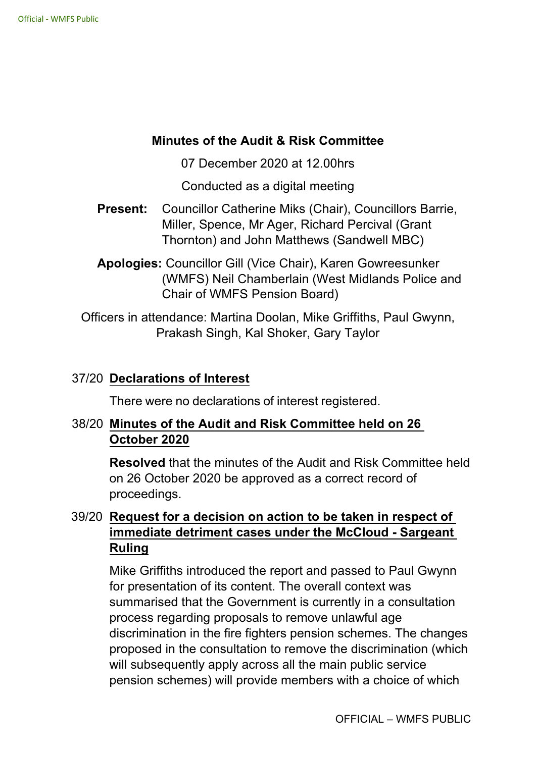### **Minutes of the Audit & Risk Committee**

07 December 2020 at 12.00hrs

Conducted as a digital meeting

- **Present:** Councillor Catherine Miks (Chair), Councillors Barrie, Miller, Spence, Mr Ager, Richard Percival (Grant Thornton) and John Matthews (Sandwell MBC)
- **Apologies:** Councillor Gill (Vice Chair), Karen Gowreesunker (WMFS) Neil Chamberlain (West Midlands Police and Chair of WMFS Pension Board)

Officers in attendance: Martina Doolan, Mike Griffiths, Paul Gwynn, Prakash Singh, Kal Shoker, Gary Taylor

### 37/20 **Declarations of Interest**

There were no declarations of interest registered.

## 38/20 **Minutes of the Audit and Risk Committee held on 26 October 2020**

**Resolved** that the minutes of the Audit and Risk Committee held on 26 October 2020 be approved as a correct record of proceedings.

# 39/20 **Request for a decision on action to be taken in respect of immediate detriment cases under the McCloud Sargeant Ruling**

Mike Griffiths introduced the report and passed to Paul Gwynn for presentation of its content. The overall context was summarised that the Government is currently in a consultation process regarding proposals to remove unlawful age discrimination in the fire fighters pension schemes. The changes proposed in the consultation to remove the discrimination (which will subsequently apply across all the main public service pension schemes) will provide members with a choice of which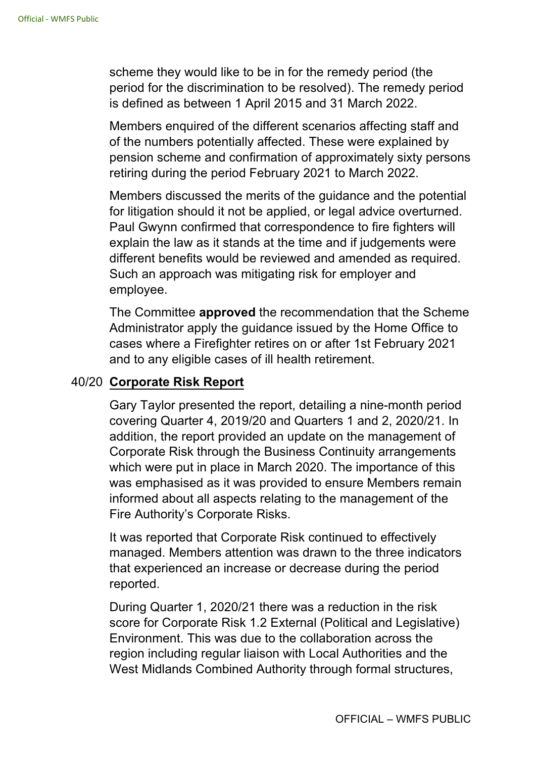scheme they would like to be in for the remedy period (the period for the discrimination to be resolved). The remedy period is defined as between 1 April 2015 and 31 March 2022.

Members enquired of the different scenarios affecting staff and of the numbers potentially affected. These were explained by pension scheme and confirmation of approximately sixty persons retiring during the period February 2021 to March 2022.

Members discussed the merits of the guidance and the potential for litigation should it not be applied, or legal advice overturned. Paul Gwynn confirmed that correspondence to fire fighters will explain the law as it stands at the time and if judgements were different benefits would be reviewed and amended as required. Such an approach was mitigating risk for employer and employee.

The Committee **approved** the recommendation that the Scheme Administrator apply the guidance issued by the Home Office to cases where a Firefighter retires on or after 1st February 2021 and to any eligible cases of ill health retirement.

### 40/20 **Corporate Risk Report**

Gary Taylor presented the report, detailing a nine-month period covering Quarter 4, 2019/20 and Quarters 1 and 2, 2020/21. In addition, the report provided an update on the management of Corporate Risk through the Business Continuity arrangements which were put in place in March 2020. The importance of this was emphasised as it was provided to ensure Members remain informed about all aspects relating to the management of the Fire Authority's Corporate Risks.

It was reported that Corporate Risk continued to effectively managed. Members attention was drawn to the three indicators that experienced an increase or decrease during the period reported.

During Quarter 1, 2020/21 there was a reduction in the risk score for Corporate Risk 1.2 External (Political and Legislative) Environment. This was due to the collaboration across the region including regular liaison with Local Authorities and the West Midlands Combined Authority through formal structures,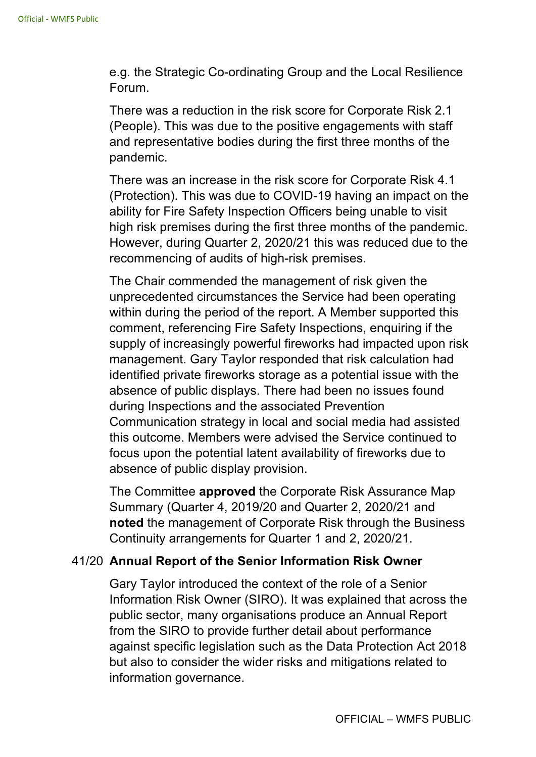e.g. the Strategic Co-ordinating Group and the Local Resilience Forum.

There was a reduction in the risk score for Corporate Risk 2.1 (People). This was due to the positive engagements with staff and representative bodies during the first three months of the pandemic.

There was an increase in the risk score for Corporate Risk 4.1 (Protection). This was due to COVID-19 having an impact on the ability for Fire Safety Inspection Officers being unable to visit high risk premises during the first three months of the pandemic. However, during Quarter 2, 2020/21 this was reduced due to the recommencing of audits of high-risk premises.

The Chair commended the management of risk given the unprecedented circumstances the Service had been operating within during the period of the report. A Member supported this comment, referencing Fire Safety Inspections, enquiring if the supply of increasingly powerful fireworks had impacted upon risk management. Gary Taylor responded that risk calculation had identified private fireworks storage as a potential issue with the absence of public displays. There had been no issues found during Inspections and the associated Prevention Communication strategy in local and social media had assisted this outcome. Members were advised the Service continued to focus upon the potential latent availability of fireworks due to absence of public display provision.

The Committee **approved** the Corporate Risk Assurance Map Summary (Quarter 4, 2019/20 and Quarter 2, 2020/21 and **noted** the management of Corporate Risk through the Business Continuity arrangements for Quarter 1 and 2, 2020/21.

### 41/20 **Annual Report of the Senior Information Risk Owner**

Gary Taylor introduced the context of the role of a Senior Information Risk Owner (SIRO). It was explained that across the public sector, many organisations produce an Annual Report from the SIRO to provide further detail about performance against specific legislation such as the Data Protection Act 2018 but also to consider the wider risks and mitigations related to information governance.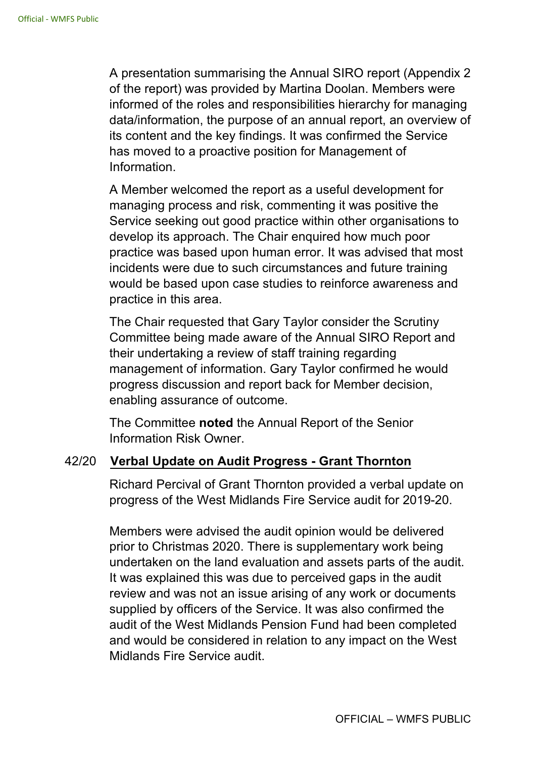A presentation summarising the Annual SIRO report (Appendix 2 of the report) was provided by Martina Doolan. Members were informed of the roles and responsibilities hierarchy for managing data/information, the purpose of an annual report, an overview of its content and the key findings. It was confirmed the Service has moved to a proactive position for Management of Information.

A Member welcomed the report as a useful development for managing process and risk, commenting it was positive the Service seeking out good practice within other organisations to develop its approach. The Chair enquired how much poor practice was based upon human error. It was advised that most incidents were due to such circumstances and future training would be based upon case studies to reinforce awareness and practice in this area.

The Chair requested that Gary Taylor consider the Scrutiny Committee being made aware of the Annual SIRO Report and their undertaking a review of staff training regarding management of information. Gary Taylor confirmed he would progress discussion and report back for Member decision, enabling assurance of outcome.

The Committee **noted** the Annual Report of the Senior Information Risk Owner.

### 42/20 **Verbal Update on Audit Progress Grant Thornton**

Richard Percival of Grant Thornton provided a verbal update on progress of the West Midlands Fire Service audit for 2019-20.

Members were advised the audit opinion would be delivered prior to Christmas 2020. There is supplementary work being undertaken on the land evaluation and assets parts of the audit. It was explained this was due to perceived gaps in the audit review and was not an issue arising of any work or documents supplied by officers of the Service. It was also confirmed the audit of the West Midlands Pension Fund had been completed and would be considered in relation to any impact on the West Midlands Fire Service audit.